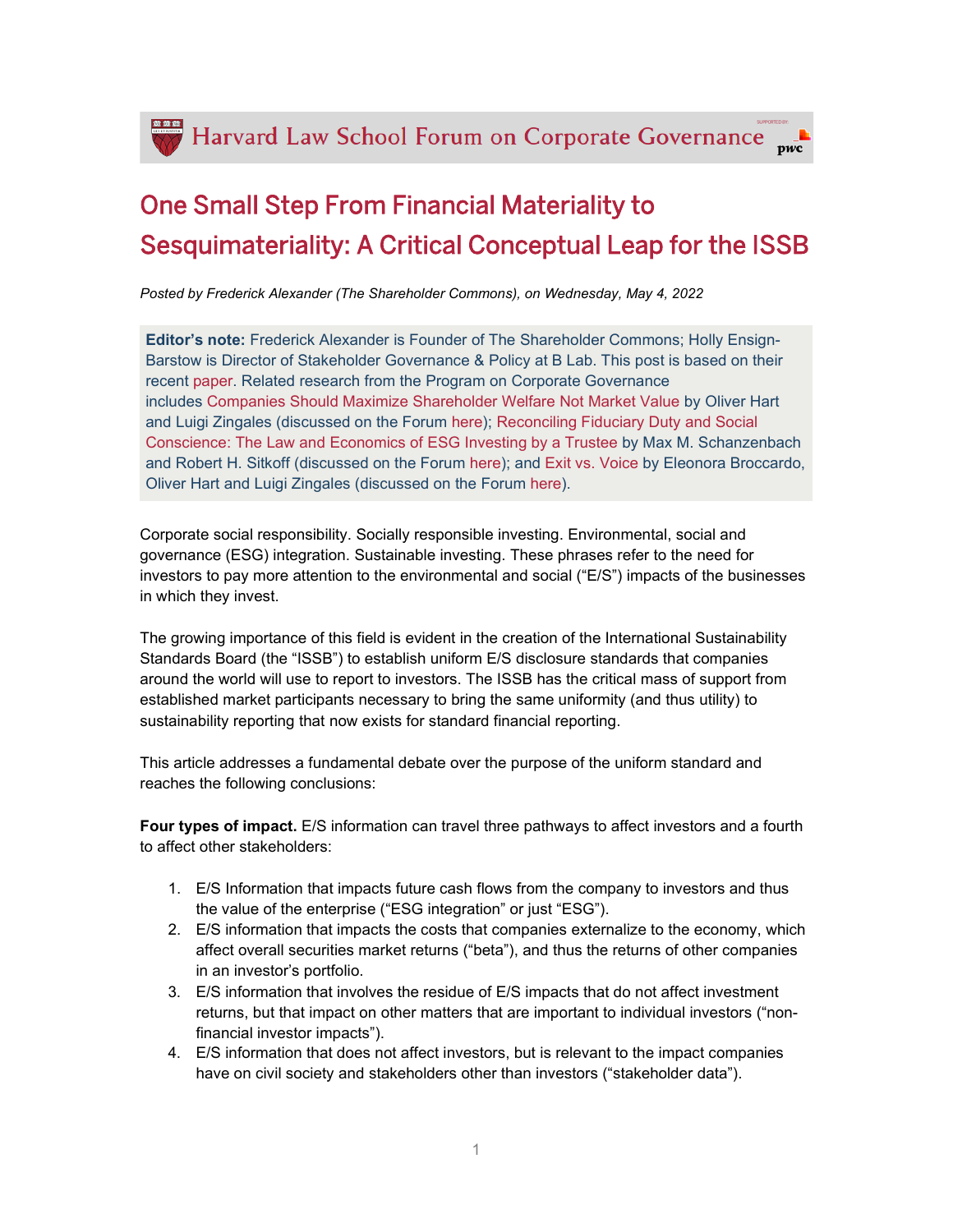Harvard Law School Forum on Corporate Governance  $\overline{w}$ 

# One Small Step From Financial Materiality to Sesquimateriality: A Critical Conceptual Leap for the ISSB

*Posted by Frederick Alexander (The Shareholder Commons), on Wednesday, May 4, 2022*

**Editor's note:** Frederick Alexander is Founder of The Shareholder Commons; Holly Ensign-Barstow is Director of Stakeholder Governance & Policy at B Lab. This post is based on their recent [paper.](https://papers.ssrn.com/sol3/papers.cfm?abstract_id=4056602) Related research from the Program on Corporate Governance includes [Companies Should Maximize Shareholder Welfare Not Market Value](https://papers.ssrn.com/sol3/papers.cfm?abstract_id=3004794) by Oliver Hart and Luigi Zingales (discussed on the Forum [here\)](https://corpgov.law.harvard.edu/2017/09/05/companies-should-maximize-shareholder-welfare-not-market-value/); [Reconciling Fiduciary Duty and Social](https://papers.ssrn.com/sol3/papers.cfm?abstract_id=3244665)  [Conscience: The Law and Economics of ESG Investing by a Trustee](https://papers.ssrn.com/sol3/papers.cfm?abstract_id=3244665) by Max M. Schanzenbach and Robert H. Sitkoff (discussed on the Forum [here\)](https://corpgov.law.harvard.edu/2018/09/20/the-law-and-economics-of-environmental-social-and-governance-investing-by-a-fiduciary/); and [Exit vs. Voice](https://papers.ssrn.com/sol3/papers.cfm?abstract_id=3680815) by Eleonora Broccardo, Oliver Hart and Luigi Zingales (discussed on the Forum [here\)](https://corpgov.law.harvard.edu/2020/09/04/exit-vs-voice/).

Corporate social responsibility. Socially responsible investing. Environmental, social and governance (ESG) integration. Sustainable investing. These phrases refer to the need for investors to pay more attention to the environmental and social ("E/S") impacts of the businesses in which they invest.

The growing importance of this field is evident in the creation of the International Sustainability Standards Board (the "ISSB") to establish uniform E/S disclosure standards that companies around the world will use to report to investors. The ISSB has the critical mass of support from established market participants necessary to bring the same uniformity (and thus utility) to sustainability reporting that now exists for standard financial reporting.

This article addresses a fundamental debate over the purpose of the uniform standard and reaches the following conclusions:

**Four types of impact.** E/S information can travel three pathways to affect investors and a fourth to affect other stakeholders:

- 1. E/S Information that impacts future cash flows from the company to investors and thus the value of the enterprise ("ESG integration" or just "ESG").
- 2. E/S information that impacts the costs that companies externalize to the economy, which affect overall securities market returns ("beta"), and thus the returns of other companies in an investor's portfolio.
- 3. E/S information that involves the residue of E/S impacts that do not affect investment returns, but that impact on other matters that are important to individual investors ("nonfinancial investor impacts").
- 4. E/S information that does not affect investors, but is relevant to the impact companies have on civil society and stakeholders other than investors ("stakeholder data").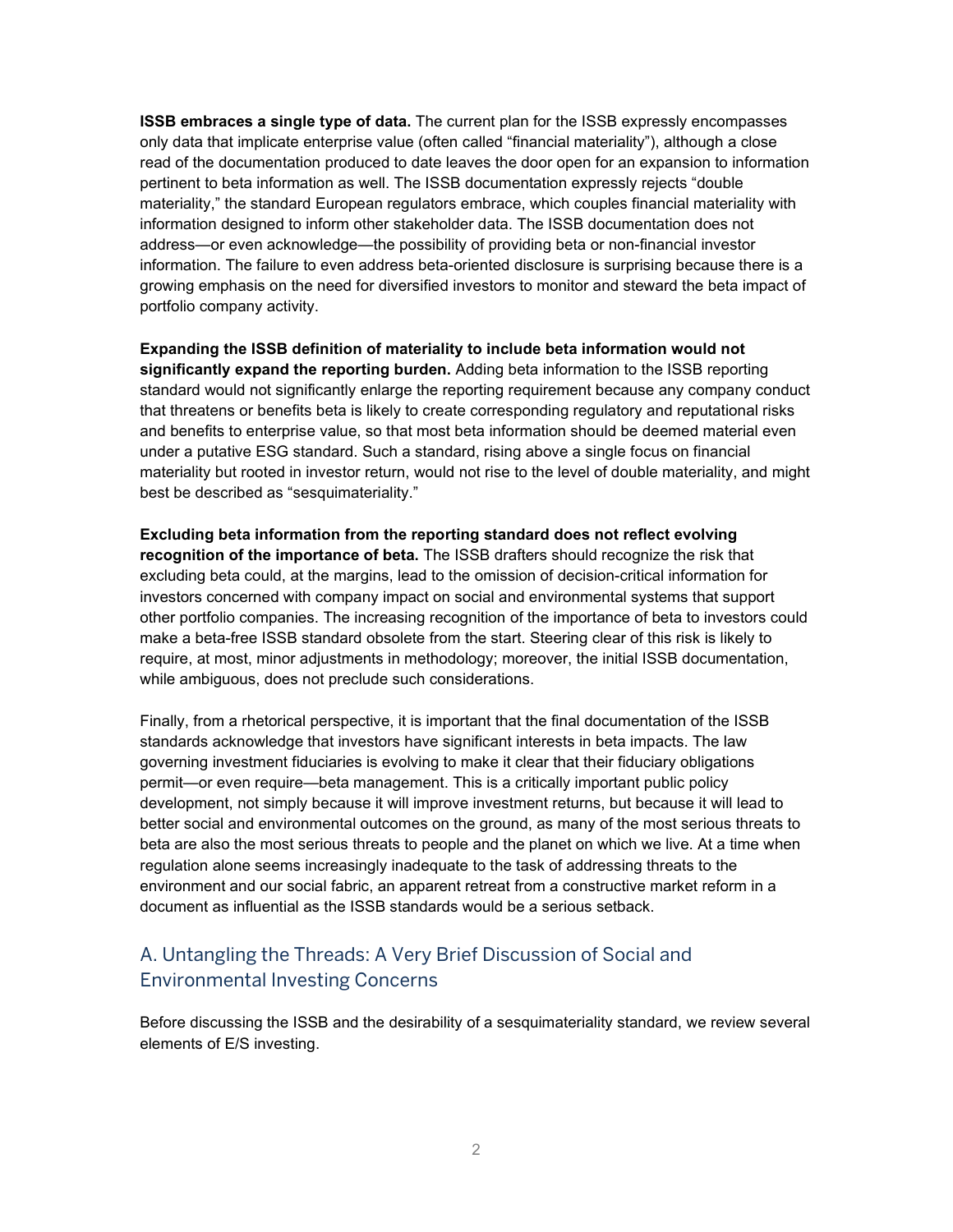**ISSB embraces a single type of data.** The current plan for the ISSB expressly encompasses only data that implicate enterprise value (often called "financial materiality"), although a close read of the documentation produced to date leaves the door open for an expansion to information pertinent to beta information as well. The ISSB documentation expressly rejects "double materiality," the standard European regulators embrace, which couples financial materiality with information designed to inform other stakeholder data. The ISSB documentation does not address—or even acknowledge—the possibility of providing beta or non-financial investor information. The failure to even address beta-oriented disclosure is surprising because there is a growing emphasis on the need for diversified investors to monitor and steward the beta impact of portfolio company activity.

**Expanding the ISSB definition of materiality to include beta information would not significantly expand the reporting burden.** Adding beta information to the ISSB reporting standard would not significantly enlarge the reporting requirement because any company conduct that threatens or benefits beta is likely to create corresponding regulatory and reputational risks and benefits to enterprise value, so that most beta information should be deemed material even under a putative ESG standard. Such a standard, rising above a single focus on financial materiality but rooted in investor return, would not rise to the level of double materiality, and might best be described as "sesquimateriality."

**Excluding beta information from the reporting standard does not reflect evolving recognition of the importance of beta.** The ISSB drafters should recognize the risk that excluding beta could, at the margins, lead to the omission of decision-critical information for investors concerned with company impact on social and environmental systems that support other portfolio companies. The increasing recognition of the importance of beta to investors could make a beta-free ISSB standard obsolete from the start. Steering clear of this risk is likely to require, at most, minor adjustments in methodology; moreover, the initial ISSB documentation, while ambiguous, does not preclude such considerations.

Finally, from a rhetorical perspective, it is important that the final documentation of the ISSB standards acknowledge that investors have significant interests in beta impacts. The law governing investment fiduciaries is evolving to make it clear that their fiduciary obligations permit—or even require—beta management. This is a critically important public policy development, not simply because it will improve investment returns, but because it will lead to better social and environmental outcomes on the ground, as many of the most serious threats to beta are also the most serious threats to people and the planet on which we live. At a time when regulation alone seems increasingly inadequate to the task of addressing threats to the environment and our social fabric, an apparent retreat from a constructive market reform in a document as influential as the ISSB standards would be a serious setback.

# A. Untangling the Threads: A Very Brief Discussion of Social and Environmental Investing Concerns

Before discussing the ISSB and the desirability of a sesquimateriality standard, we review several elements of E/S investing.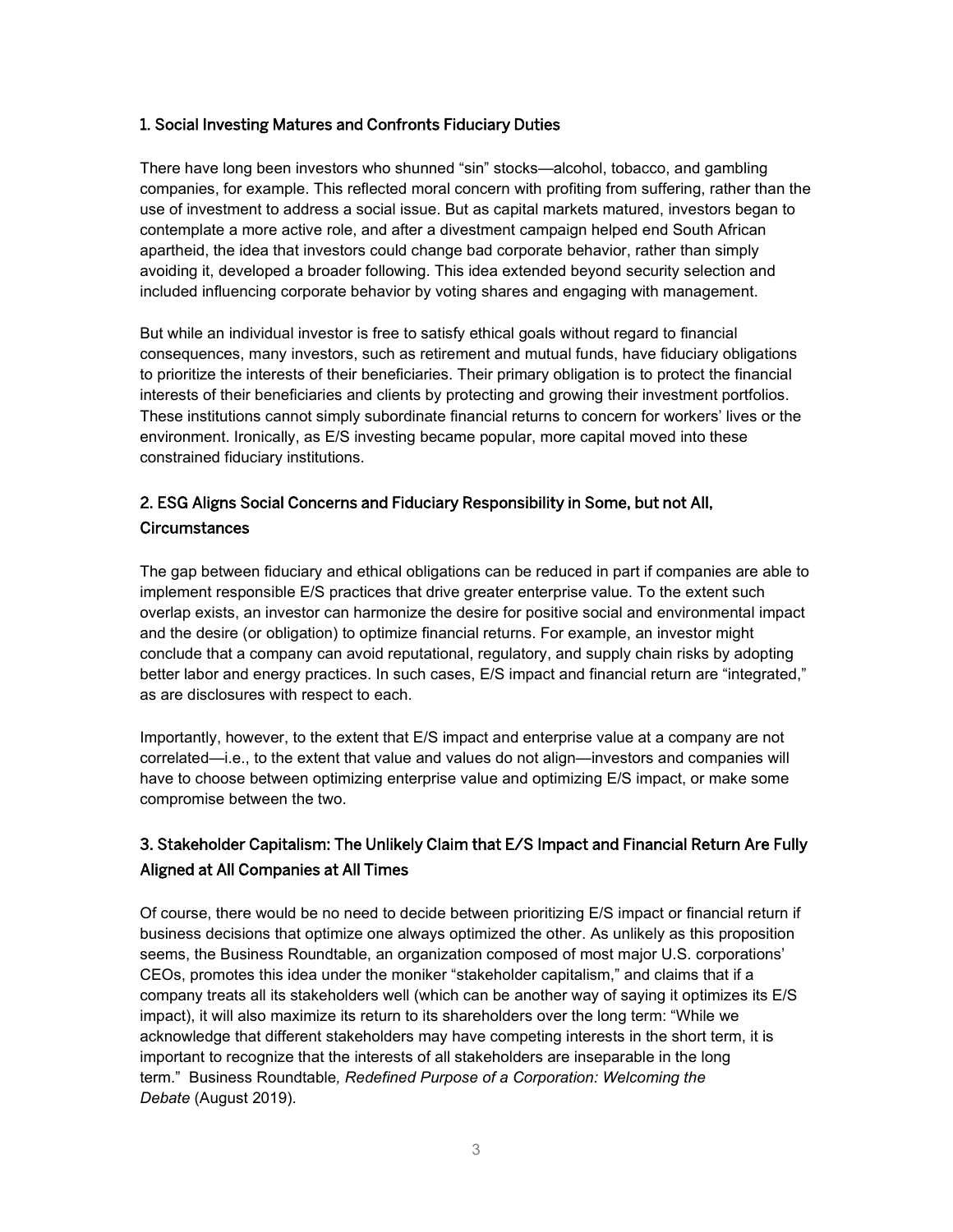#### 1. Social Investing Matures and Confronts Fiduciary Duties

There have long been investors who shunned "sin" stocks—alcohol, tobacco, and gambling companies, for example. This reflected moral concern with profiting from suffering, rather than the use of investment to address a social issue. But as capital markets matured, investors began to contemplate a more active role, and after a divestment campaign helped end South African apartheid, the idea that investors could change bad corporate behavior, rather than simply avoiding it, developed a broader following. This idea extended beyond security selection and included influencing corporate behavior by voting shares and engaging with management.

But while an individual investor is free to satisfy ethical goals without regard to financial consequences, many investors, such as retirement and mutual funds, have fiduciary obligations to prioritize the interests of their beneficiaries. Their primary obligation is to protect the financial interests of their beneficiaries and clients by protecting and growing their investment portfolios. These institutions cannot simply subordinate financial returns to concern for workers' lives or the environment. Ironically, as E/S investing became popular, more capital moved into these constrained fiduciary institutions.

### 2. ESG Aligns Social Concerns and Fiduciary Responsibility in Some, but not All, **Circumstances**

The gap between fiduciary and ethical obligations can be reduced in part if companies are able to implement responsible E/S practices that drive greater enterprise value. To the extent such overlap exists, an investor can harmonize the desire for positive social and environmental impact and the desire (or obligation) to optimize financial returns. For example, an investor might conclude that a company can avoid reputational, regulatory, and supply chain risks by adopting better labor and energy practices. In such cases, E/S impact and financial return are "integrated," as are disclosures with respect to each.

Importantly, however, to the extent that E/S impact and enterprise value at a company are not correlated—i.e., to the extent that value and values do not align—investors and companies will have to choose between optimizing enterprise value and optimizing E/S impact, or make some compromise between the two.

## 3. Stakeholder Capitalism: The Unlikely Claim that E/S Impact and Financial Return Are Fully Aligned at All Companies at All Times

Of course, there would be no need to decide between prioritizing E/S impact or financial return if business decisions that optimize one always optimized the other. As unlikely as this proposition seems, the Business Roundtable, an organization composed of most major U.S. corporations' CEOs, promotes this idea under the moniker "stakeholder capitalism," and claims that if a company treats all its stakeholders well (which can be another way of saying it optimizes its E/S impact), it will also maximize its return to its shareholders over the long term: "While we acknowledge that different stakeholders may have competing interests in the short term, it is important to recognize that the interests of all stakeholders are inseparable in the long term."Business Roundtable*, Redefined Purpose of a Corporation: Welcoming the Debate* (August 2019).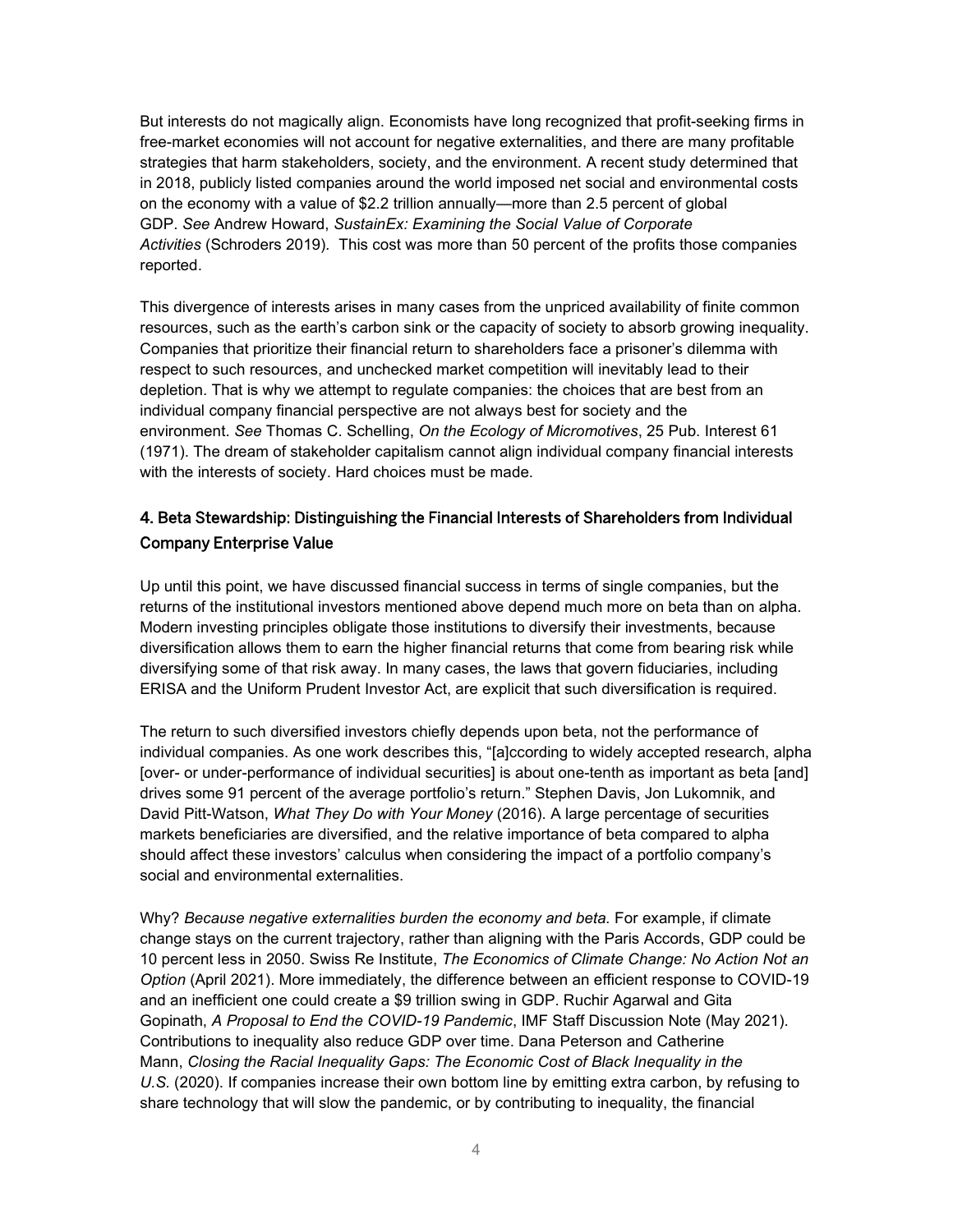But interests do not magically align. Economists have long recognized that profit-seeking firms in free-market economies will not account for negative externalities, and there are many profitable strategies that harm stakeholders, society, and the environment. A recent study determined that in 2018, publicly listed companies around the world imposed net social and environmental costs on the economy with a value of \$2.2 trillion annually—more than 2.5 percent of global GDP. *See* Andrew Howard, *SustainEx: Examining the Social Value of Corporate Activities* (Schroders 2019)*.* This cost was more than 50 percent of the profits those companies reported.

This divergence of interests arises in many cases from the unpriced availability of finite common resources, such as the earth's carbon sink or the capacity of society to absorb growing inequality. Companies that prioritize their financial return to shareholders face a prisoner's dilemma with respect to such resources, and unchecked market competition will inevitably lead to their depletion. That is why we attempt to regulate companies: the choices that are best from an individual company financial perspective are not always best for society and the environment. *See* Thomas C. Schelling, *On the Ecology of Micromotives*, 25 Pub. Interest 61 (1971). The dream of stakeholder capitalism cannot align individual company financial interests with the interests of society. Hard choices must be made.

## 4. Beta Stewardship: Distinguishing the Financial Interests of Shareholders from Individual Company Enterprise Value

Up until this point, we have discussed financial success in terms of single companies, but the returns of the institutional investors mentioned above depend much more on beta than on alpha. Modern investing principles obligate those institutions to diversify their investments, because diversification allows them to earn the higher financial returns that come from bearing risk while diversifying some of that risk away. In many cases, the laws that govern fiduciaries, including ERISA and the Uniform Prudent Investor Act, are explicit that such diversification is required.

The return to such diversified investors chiefly depends upon beta, not the performance of individual companies. As one work describes this, "[a]ccording to widely accepted research, alpha [over- or under-performance of individual securities] is about one-tenth as important as beta [and] drives some 91 percent of the average portfolio's return." Stephen Davis, Jon Lukomnik, and David Pitt-Watson, *What They Do with Your Money* (2016). A large percentage of securities markets beneficiaries are diversified, and the relative importance of beta compared to alpha should affect these investors' calculus when considering the impact of a portfolio company's social and environmental externalities.

Why? *Because negative externalities burden the economy and beta.* For example, if climate change stays on the current trajectory, rather than aligning with the Paris Accords, GDP could be 10 percent less in 2050. Swiss Re Institute, *The Economics of Climate Change: No Action Not an Option* (April 2021). More immediately, the difference between an efficient response to COVID-19 and an inefficient one could create a \$9 trillion swing in GDP. Ruchir Agarwal and Gita Gopinath, *A Proposal to End the COVID-19 Pandemic*, IMF Staff Discussion Note (May 2021). Contributions to inequality also reduce GDP over time. Dana Peterson and Catherine Mann, *Closing the Racial Inequality Gaps: The Economic Cost of Black Inequality in the U.S.* (2020). If companies increase their own bottom line by emitting extra carbon, by refusing to share technology that will slow the pandemic, or by contributing to inequality, the financial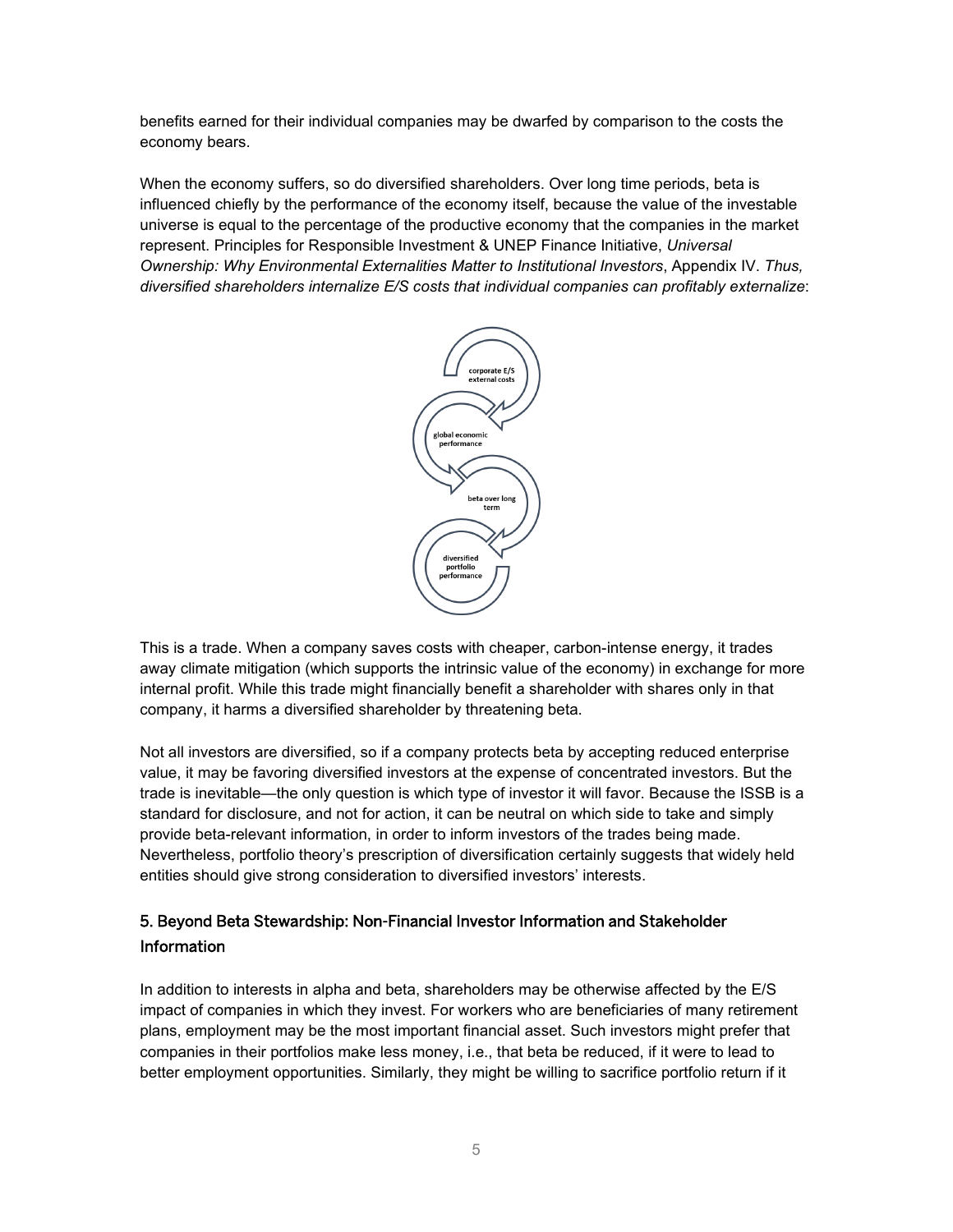benefits earned for their individual companies may be dwarfed by comparison to the costs the economy bears.

When the economy suffers, so do diversified shareholders. Over long time periods, beta is influenced chiefly by the performance of the economy itself, because the value of the investable universe is equal to the percentage of the productive economy that the companies in the market represent. Principles for Responsible Investment & UNEP Finance Initiative, *Universal Ownership: Why Environmental Externalities Matter to Institutional Investors*, Appendix IV. *Thus, diversified shareholders internalize E/S costs that individual companies can profitably externalize*:



This is a trade. When a company saves costs with cheaper, carbon-intense energy, it trades away climate mitigation (which supports the intrinsic value of the economy) in exchange for more internal profit. While this trade might financially benefit a shareholder with shares only in that company, it harms a diversified shareholder by threatening beta.

Not all investors are diversified, so if a company protects beta by accepting reduced enterprise value, it may be favoring diversified investors at the expense of concentrated investors. But the trade is inevitable—the only question is which type of investor it will favor. Because the ISSB is a standard for disclosure, and not for action, it can be neutral on which side to take and simply provide beta-relevant information, in order to inform investors of the trades being made. Nevertheless, portfolio theory's prescription of diversification certainly suggests that widely held entities should give strong consideration to diversified investors' interests.

## 5. Beyond Beta Stewardship: Non-Financial Investor Information and Stakeholder Information

In addition to interests in alpha and beta, shareholders may be otherwise affected by the E/S impact of companies in which they invest. For workers who are beneficiaries of many retirement plans, employment may be the most important financial asset. Such investors might prefer that companies in their portfolios make less money, i.e., that beta be reduced, if it were to lead to better employment opportunities. Similarly, they might be willing to sacrifice portfolio return if it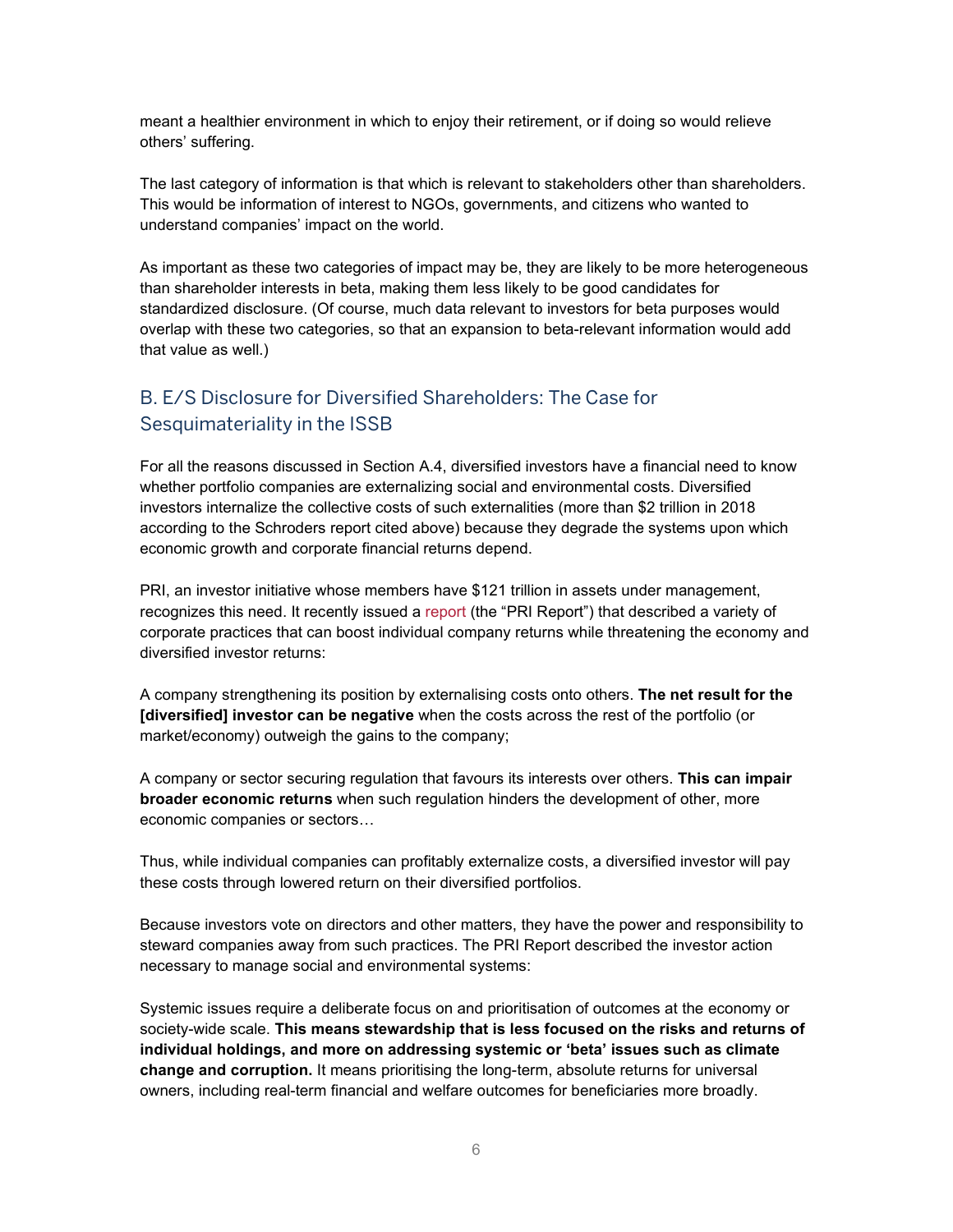meant a healthier environment in which to enjoy their retirement, or if doing so would relieve others' suffering.

The last category of information is that which is relevant to stakeholders other than shareholders. This would be information of interest to NGOs, governments, and citizens who wanted to understand companies' impact on the world.

As important as these two categories of impact may be, they are likely to be more heterogeneous than shareholder interests in beta, making them less likely to be good candidates for standardized disclosure. (Of course, much data relevant to investors for beta purposes would overlap with these two categories, so that an expansion to beta-relevant information would add that value as well.)

# B. E/S Disclosure for Diversified Shareholders: The Case for Sesquimateriality in the ISSB

For all the reasons discussed in Section A.4, diversified investors have a financial need to know whether portfolio companies are externalizing social and environmental costs. Diversified investors internalize the collective costs of such externalities (more than \$2 trillion in 2018 according to the Schroders report cited above) because they degrade the systems upon which economic growth and corporate financial returns depend.

PRI, an investor initiative whose members have \$121 trillion in assets under management, recognizes this need. It recently issued a [report](https://www.unpri.org/download?ac=9721) (the "PRI Report") that described a variety of corporate practices that can boost individual company returns while threatening the economy and diversified investor returns:

A company strengthening its position by externalising costs onto others. **The net result for the [diversified] investor can be negative** when the costs across the rest of the portfolio (or market/economy) outweigh the gains to the company;

A company or sector securing regulation that favours its interests over others. **This can impair broader economic returns** when such regulation hinders the development of other, more economic companies or sectors…

Thus, while individual companies can profitably externalize costs, a diversified investor will pay these costs through lowered return on their diversified portfolios.

Because investors vote on directors and other matters, they have the power and responsibility to steward companies away from such practices. The PRI Report described the investor action necessary to manage social and environmental systems:

Systemic issues require a deliberate focus on and prioritisation of outcomes at the economy or society-wide scale. **This means stewardship that is less focused on the risks and returns of individual holdings, and more on addressing systemic or 'beta' issues such as climate change and corruption.** It means prioritising the long-term, absolute returns for universal owners, including real-term financial and welfare outcomes for beneficiaries more broadly.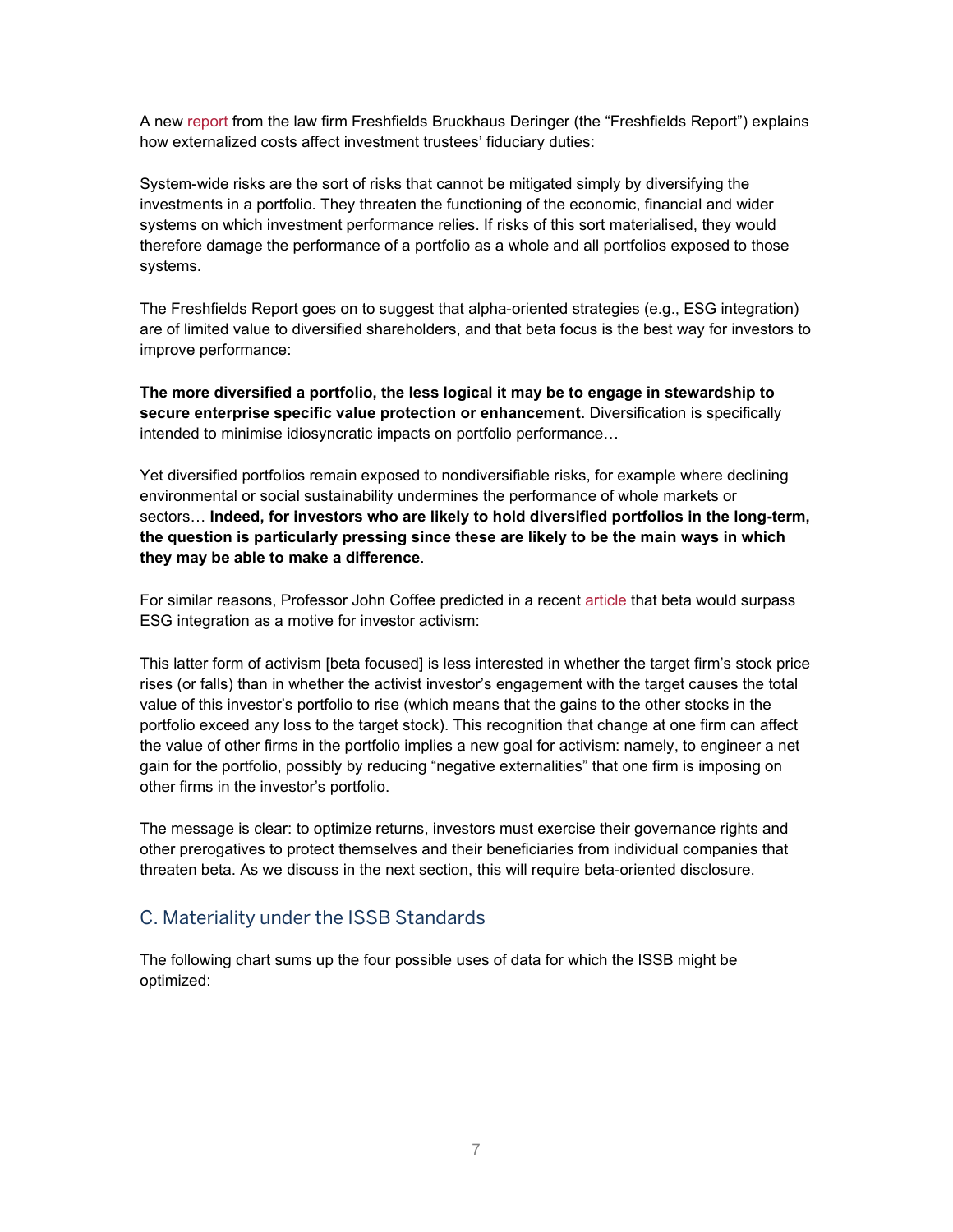A new [report](https://www.unpri.org/policy/a-legal-framework-for-impact) from the law firm Freshfields Bruckhaus Deringer (the "Freshfields Report") explains how externalized costs affect investment trustees' fiduciary duties:

System-wide risks are the sort of risks that cannot be mitigated simply by diversifying the investments in a portfolio. They threaten the functioning of the economic, financial and wider systems on which investment performance relies. If risks of this sort materialised, they would therefore damage the performance of a portfolio as a whole and all portfolios exposed to those systems.

The Freshfields Report goes on to suggest that alpha-oriented strategies (e.g., ESG integration) are of limited value to diversified shareholders, and that beta focus is the best way for investors to improve performance:

**The more diversified a portfolio, the less logical it may be to engage in stewardship to secure enterprise specific value protection or enhancement.** Diversification is specifically intended to minimise idiosyncratic impacts on portfolio performance…

Yet diversified portfolios remain exposed to nondiversifiable risks, for example where declining environmental or social sustainability undermines the performance of whole markets or sectors… **Indeed, for investors who are likely to hold diversified portfolios in the long-term, the question is particularly pressing since these are likely to be the main ways in which they may be able to make a difference**.

For similar reasons, Professor John Coffee predicted in a recent [article](http://dx.doi.org/10.2139/ssrn.3908163) that beta would surpass ESG integration as a motive for investor activism:

This latter form of activism [beta focused] is less interested in whether the target firm's stock price rises (or falls) than in whether the activist investor's engagement with the target causes the total value of this investor's portfolio to rise (which means that the gains to the other stocks in the portfolio exceed any loss to the target stock). This recognition that change at one firm can affect the value of other firms in the portfolio implies a new goal for activism: namely, to engineer a net gain for the portfolio, possibly by reducing "negative externalities" that one firm is imposing on other firms in the investor's portfolio.

The message is clear: to optimize returns, investors must exercise their governance rights and other prerogatives to protect themselves and their beneficiaries from individual companies that threaten beta. As we discuss in the next section, this will require beta-oriented disclosure.

## C. Materiality under the ISSB Standards

The following chart sums up the four possible uses of data for which the ISSB might be optimized: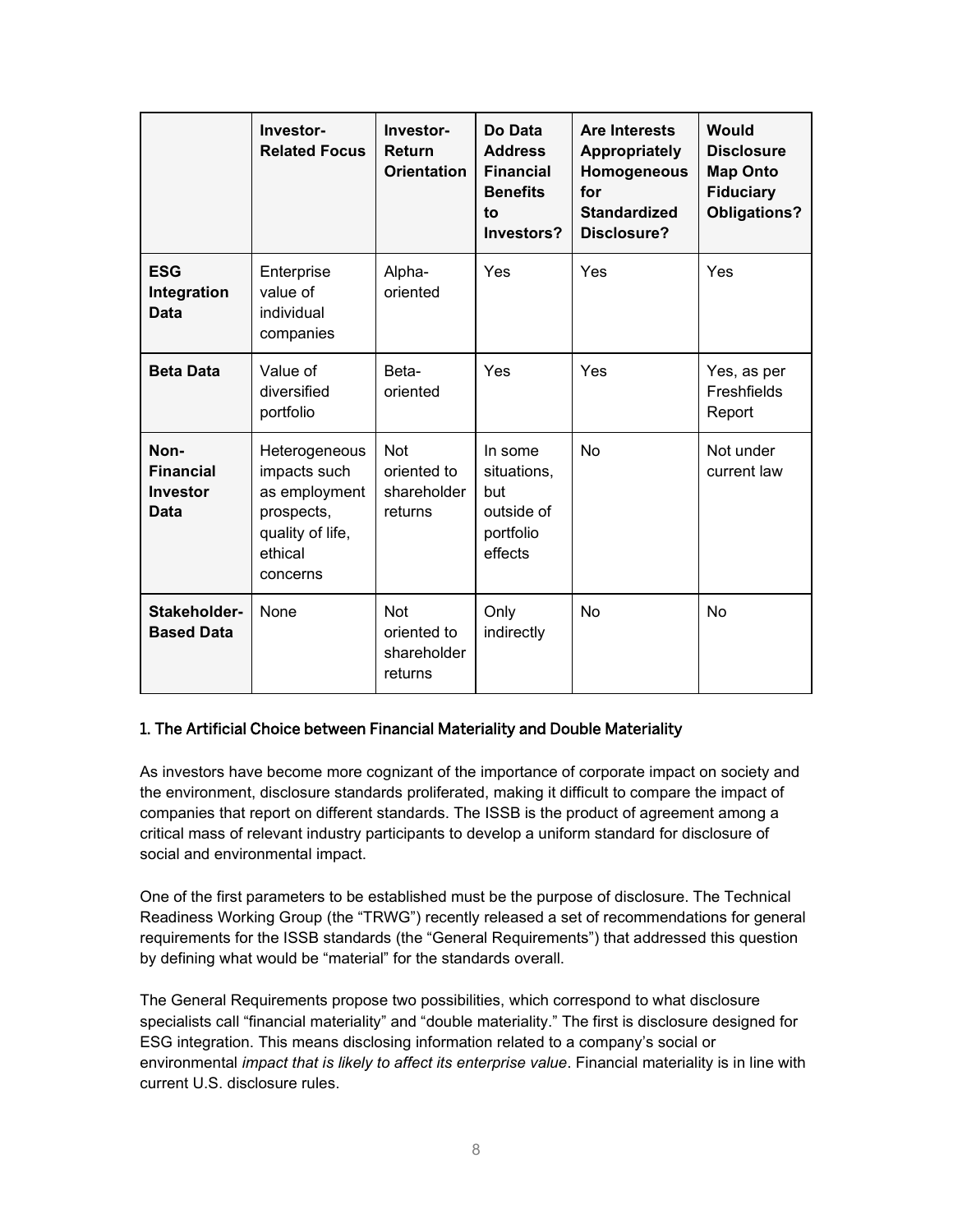|                                                     | Investor-<br><b>Related Focus</b>                                                                       | Investor-<br>Return<br><b>Orientation</b>           | Do Data<br><b>Address</b><br><b>Financial</b><br><b>Benefits</b><br>to<br>Investors? | <b>Are Interests</b><br><b>Appropriately</b><br>Homogeneous<br>for<br><b>Standardized</b><br>Disclosure? | Would<br><b>Disclosure</b><br><b>Map Onto</b><br><b>Fiduciary</b><br><b>Obligations?</b> |
|-----------------------------------------------------|---------------------------------------------------------------------------------------------------------|-----------------------------------------------------|--------------------------------------------------------------------------------------|----------------------------------------------------------------------------------------------------------|------------------------------------------------------------------------------------------|
| <b>ESG</b><br>Integration<br>Data                   | Enterprise<br>value of<br>individual<br>companies                                                       | Alpha-<br>oriented                                  | Yes                                                                                  | Yes                                                                                                      | Yes                                                                                      |
| <b>Beta Data</b>                                    | Value of<br>diversified<br>portfolio                                                                    | Beta-<br>oriented                                   | Yes                                                                                  | Yes                                                                                                      | Yes, as per<br>Freshfields<br>Report                                                     |
| Non-<br><b>Financial</b><br><b>Investor</b><br>Data | Heterogeneous<br>impacts such<br>as employment<br>prospects,<br>quality of life,<br>ethical<br>concerns | <b>Not</b><br>oriented to<br>shareholder<br>returns | In some<br>situations,<br>but<br>outside of<br>portfolio<br>effects                  | No                                                                                                       | Not under<br>current law                                                                 |
| Stakeholder-<br><b>Based Data</b>                   | None                                                                                                    | <b>Not</b><br>oriented to<br>shareholder<br>returns | Only<br>indirectly                                                                   | No                                                                                                       | No                                                                                       |

#### 1. The Artificial Choice between Financial Materiality and Double Materiality

As investors have become more cognizant of the importance of corporate impact on society and the environment, disclosure standards proliferated, making it difficult to compare the impact of companies that report on different standards. The ISSB is the product of agreement among a critical mass of relevant industry participants to develop a uniform standard for disclosure of social and environmental impact.

One of the first parameters to be established must be the purpose of disclosure. The Technical Readiness Working Group (the "TRWG") recently released a set of recommendations for general requirements for the ISSB standards (the "General Requirements") that addressed this question by defining what would be "material" for the standards overall.

The General Requirements propose two possibilities, which correspond to what disclosure specialists call "financial materiality" and "double materiality." The first is disclosure designed for ESG integration. This means disclosing information related to a company's social or environmental *impact that is likely to affect its enterprise value*. Financial materiality is in line with current U.S. disclosure rules.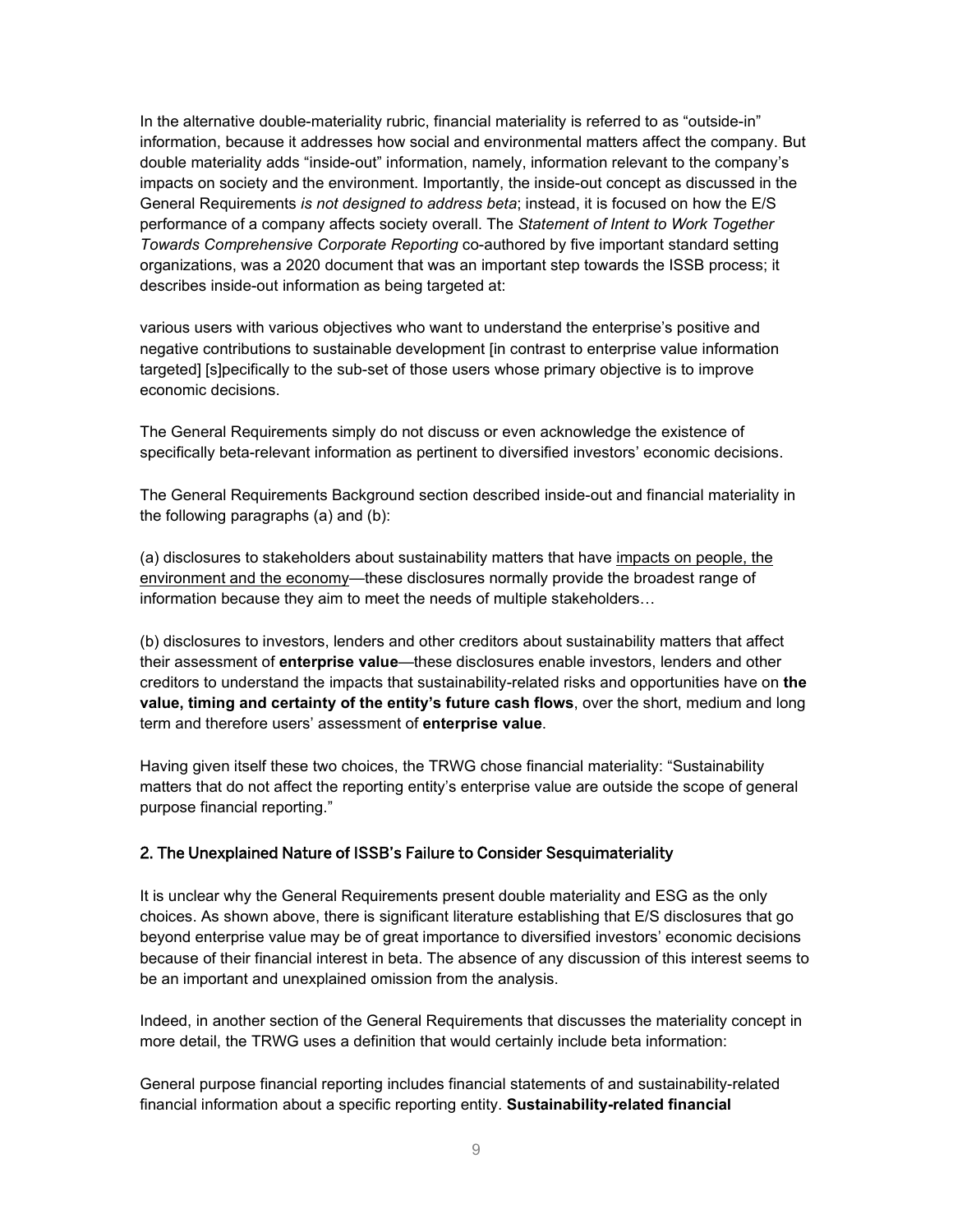In the alternative double-materiality rubric, financial materiality is referred to as "outside-in" information, because it addresses how social and environmental matters affect the company. But double materiality adds "inside-out" information, namely, information relevant to the company's impacts on society and the environment. Importantly, the inside-out concept as discussed in the General Requirements *is not designed to address beta*; instead, it is focused on how the E/S performance of a company affects society overall. The *Statement of Intent to Work Together Towards Comprehensive Corporate Reporting* co-authored by five important standard setting organizations, was a 2020 document that was an important step towards the ISSB process; it describes inside-out information as being targeted at:

various users with various objectives who want to understand the enterprise's positive and negative contributions to sustainable development [in contrast to enterprise value information targeted] [s]pecifically to the sub-set of those users whose primary objective is to improve economic decisions.

The General Requirements simply do not discuss or even acknowledge the existence of specifically beta-relevant information as pertinent to diversified investors' economic decisions.

The General Requirements Background section described inside-out and financial materiality in the following paragraphs (a) and (b):

(a) disclosures to stakeholders about sustainability matters that have impacts on people, the environment and the economy—these disclosures normally provide the broadest range of information because they aim to meet the needs of multiple stakeholders…

(b) disclosures to investors, lenders and other creditors about sustainability matters that affect their assessment of **enterprise value**—these disclosures enable investors, lenders and other creditors to understand the impacts that sustainability-related risks and opportunities have on **the value, timing and certainty of the entity's future cash flows**, over the short, medium and long term and therefore users' assessment of **enterprise value**.

Having given itself these two choices, the TRWG chose financial materiality: "Sustainability matters that do not affect the reporting entity's enterprise value are outside the scope of general purpose financial reporting."

#### 2. The Unexplained Nature of ISSB's Failure to Consider Sesquimateriality

It is unclear why the General Requirements present double materiality and ESG as the only choices. As shown above, there is significant literature establishing that E/S disclosures that go beyond enterprise value may be of great importance to diversified investors' economic decisions because of their financial interest in beta. The absence of any discussion of this interest seems to be an important and unexplained omission from the analysis.

Indeed, in another section of the General Requirements that discusses the materiality concept in more detail, the TRWG uses a definition that would certainly include beta information:

General purpose financial reporting includes financial statements of and sustainability-related financial information about a specific reporting entity. **Sustainability-related financial**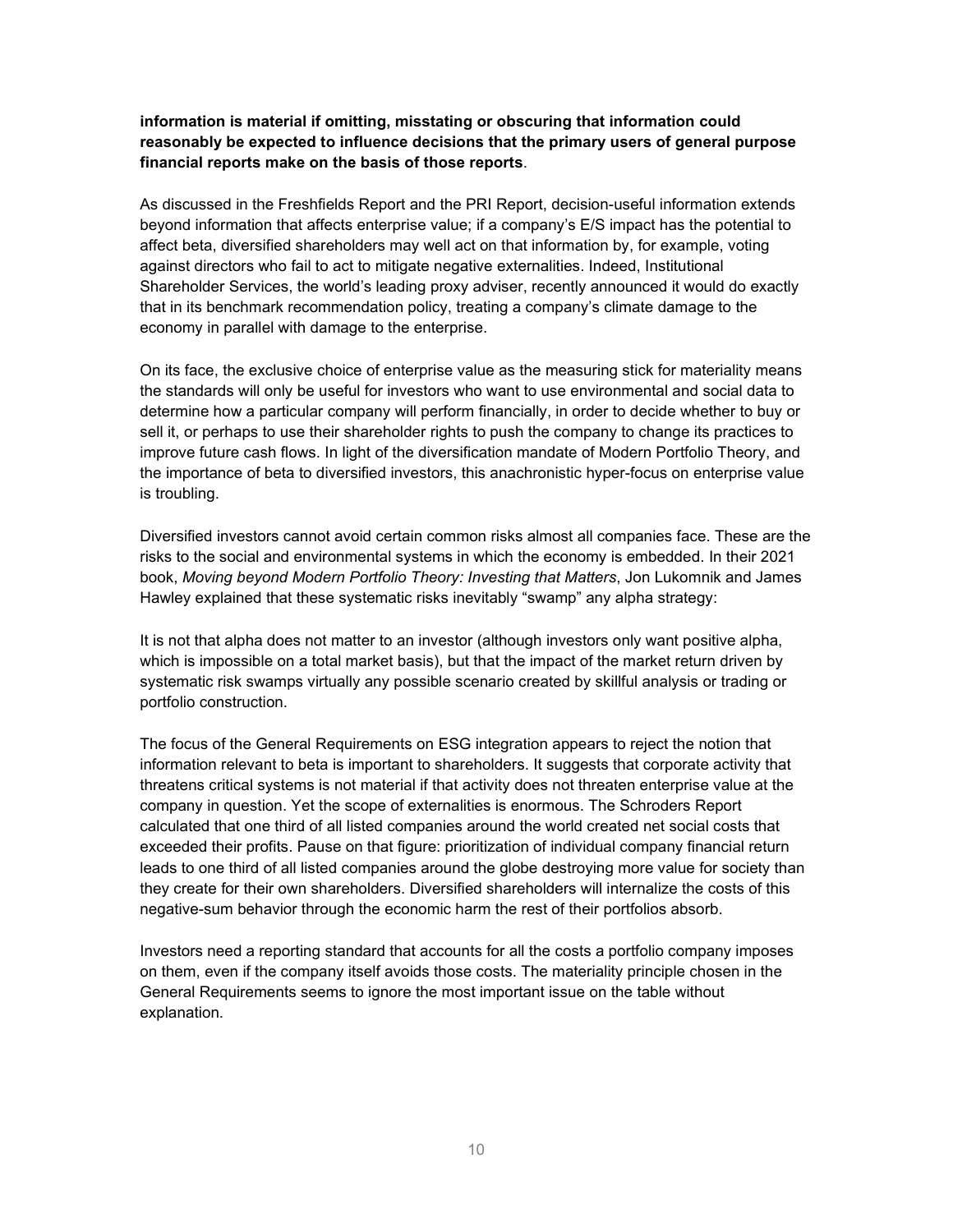#### **information is material if omitting, misstating or obscuring that information could reasonably be expected to influence decisions that the primary users of general purpose financial reports make on the basis of those reports**.

As discussed in the Freshfields Report and the PRI Report, decision-useful information extends beyond information that affects enterprise value; if a company's E/S impact has the potential to affect beta, diversified shareholders may well act on that information by, for example, voting against directors who fail to act to mitigate negative externalities. Indeed, Institutional Shareholder Services, the world's leading proxy adviser, recently announced it would do exactly that in its benchmark recommendation policy, treating a company's climate damage to the economy in parallel with damage to the enterprise.

On its face, the exclusive choice of enterprise value as the measuring stick for materiality means the standards will only be useful for investors who want to use environmental and social data to determine how a particular company will perform financially, in order to decide whether to buy or sell it, or perhaps to use their shareholder rights to push the company to change its practices to improve future cash flows. In light of the diversification mandate of Modern Portfolio Theory, and the importance of beta to diversified investors, this anachronistic hyper-focus on enterprise value is troubling.

Diversified investors cannot avoid certain common risks almost all companies face. These are the risks to the social and environmental systems in which the economy is embedded. In their 2021 book, *Moving beyond Modern Portfolio Theory: Investing that Matters*, Jon Lukomnik and James Hawley explained that these systematic risks inevitably "swamp" any alpha strategy:

It is not that alpha does not matter to an investor (although investors only want positive alpha, which is impossible on a total market basis), but that the impact of the market return driven by systematic risk swamps virtually any possible scenario created by skillful analysis or trading or portfolio construction.

The focus of the General Requirements on ESG integration appears to reject the notion that information relevant to beta is important to shareholders. It suggests that corporate activity that threatens critical systems is not material if that activity does not threaten enterprise value at the company in question. Yet the scope of externalities is enormous. The Schroders Report calculated that one third of all listed companies around the world created net social costs that exceeded their profits. Pause on that figure: prioritization of individual company financial return leads to one third of all listed companies around the globe destroying more value for society than they create for their own shareholders. Diversified shareholders will internalize the costs of this negative-sum behavior through the economic harm the rest of their portfolios absorb.

Investors need a reporting standard that accounts for all the costs a portfolio company imposes on them, even if the company itself avoids those costs. The materiality principle chosen in the General Requirements seems to ignore the most important issue on the table without explanation.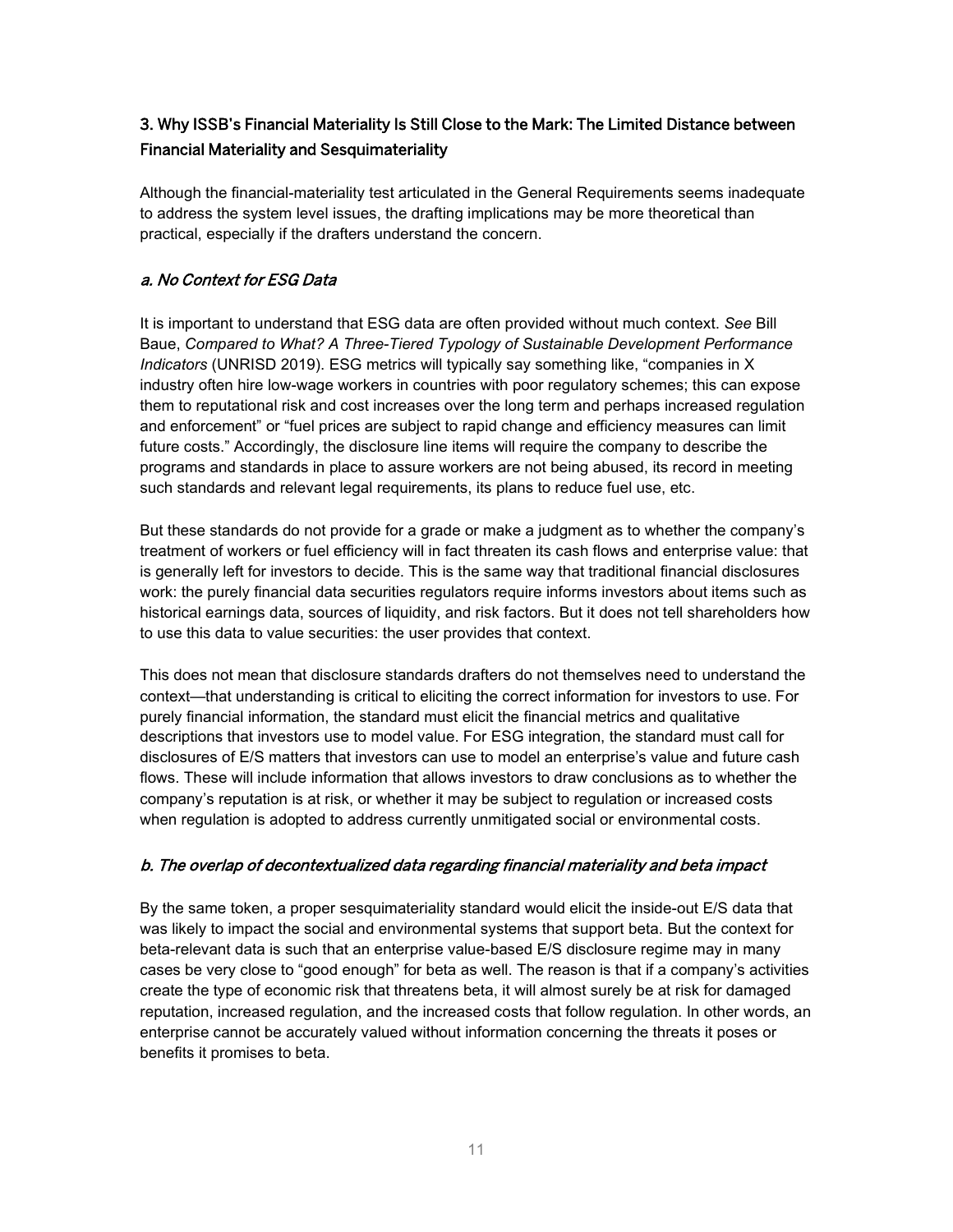## 3. Why ISSB's Financial Materiality Is Still Close to the Mark: The Limited Distance between Financial Materiality and Sesquimateriality

Although the financial-materiality test articulated in the General Requirements seems inadequate to address the system level issues, the drafting implications may be more theoretical than practical, especially if the drafters understand the concern.

### a. No Context for ESG Data

It is important to understand that ESG data are often provided without much context. *See* Bill Baue, *Compared to What? A Three-Tiered Typology of Sustainable Development Performance Indicators* (UNRISD 2019). ESG metrics will typically say something like, "companies in X industry often hire low-wage workers in countries with poor regulatory schemes; this can expose them to reputational risk and cost increases over the long term and perhaps increased regulation and enforcement" or "fuel prices are subject to rapid change and efficiency measures can limit future costs." Accordingly, the disclosure line items will require the company to describe the programs and standards in place to assure workers are not being abused, its record in meeting such standards and relevant legal requirements, its plans to reduce fuel use, etc.

But these standards do not provide for a grade or make a judgment as to whether the company's treatment of workers or fuel efficiency will in fact threaten its cash flows and enterprise value: that is generally left for investors to decide. This is the same way that traditional financial disclosures work: the purely financial data securities regulators require informs investors about items such as historical earnings data, sources of liquidity, and risk factors. But it does not tell shareholders how to use this data to value securities: the user provides that context.

This does not mean that disclosure standards drafters do not themselves need to understand the context—that understanding is critical to eliciting the correct information for investors to use. For purely financial information, the standard must elicit the financial metrics and qualitative descriptions that investors use to model value. For ESG integration, the standard must call for disclosures of E/S matters that investors can use to model an enterprise's value and future cash flows. These will include information that allows investors to draw conclusions as to whether the company's reputation is at risk, or whether it may be subject to regulation or increased costs when regulation is adopted to address currently unmitigated social or environmental costs.

#### b. The overlap of decontextualized data regarding financial materiality and beta impact

By the same token, a proper sesquimateriality standard would elicit the inside-out E/S data that was likely to impact the social and environmental systems that support beta. But the context for beta-relevant data is such that an enterprise value-based E/S disclosure regime may in many cases be very close to "good enough" for beta as well. The reason is that if a company's activities create the type of economic risk that threatens beta, it will almost surely be at risk for damaged reputation, increased regulation, and the increased costs that follow regulation. In other words, an enterprise cannot be accurately valued without information concerning the threats it poses or benefits it promises to beta.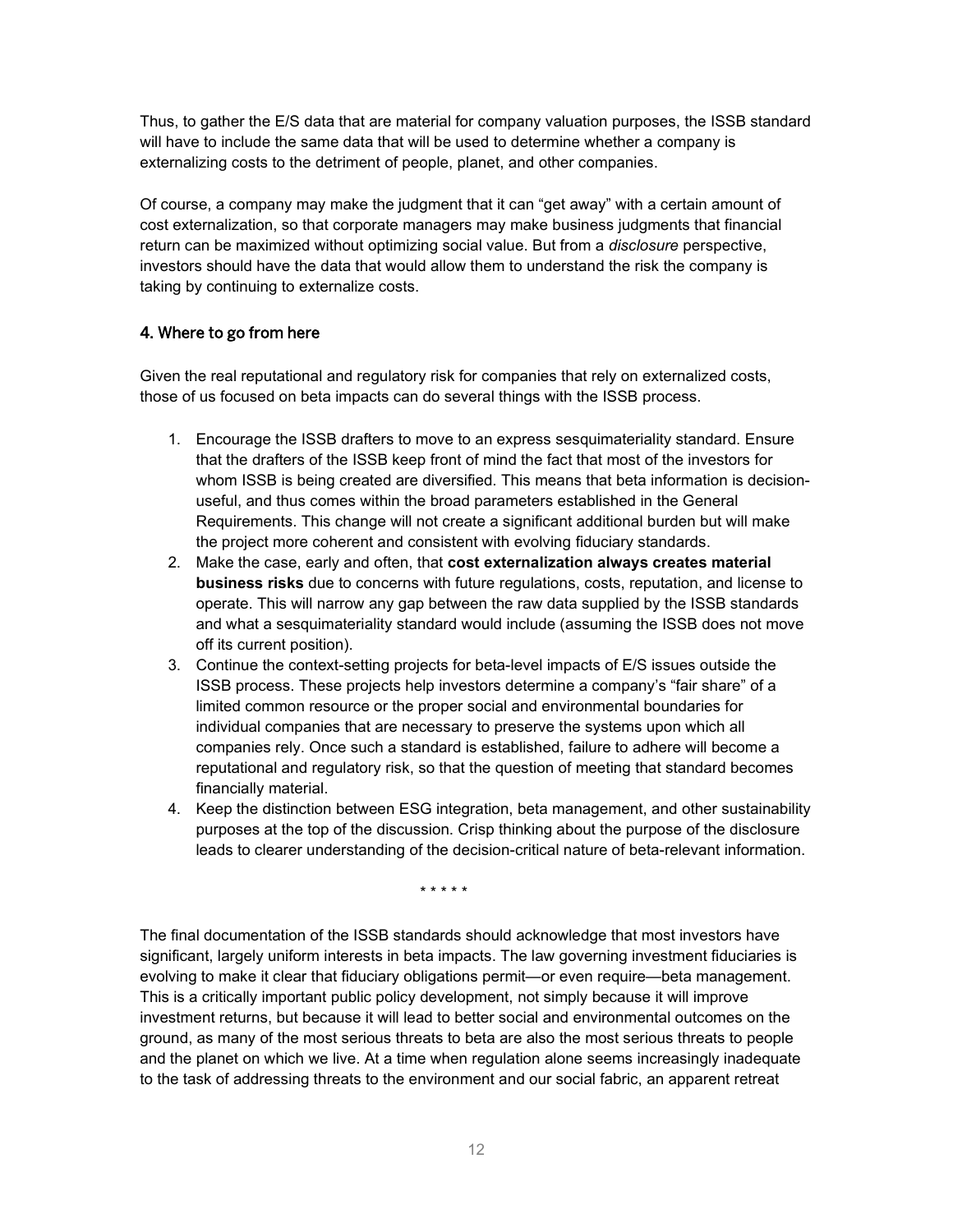Thus, to gather the E/S data that are material for company valuation purposes, the ISSB standard will have to include the same data that will be used to determine whether a company is externalizing costs to the detriment of people, planet, and other companies.

Of course, a company may make the judgment that it can "get away" with a certain amount of cost externalization, so that corporate managers may make business judgments that financial return can be maximized without optimizing social value. But from a *disclosure* perspective, investors should have the data that would allow them to understand the risk the company is taking by continuing to externalize costs.

#### 4. Where to go from here

Given the real reputational and regulatory risk for companies that rely on externalized costs, those of us focused on beta impacts can do several things with the ISSB process.

- 1. Encourage the ISSB drafters to move to an express sesquimateriality standard. Ensure that the drafters of the ISSB keep front of mind the fact that most of the investors for whom ISSB is being created are diversified. This means that beta information is decisionuseful, and thus comes within the broad parameters established in the General Requirements. This change will not create a significant additional burden but will make the project more coherent and consistent with evolving fiduciary standards.
- 2. Make the case, early and often, that **cost externalization always creates material business risks** due to concerns with future regulations, costs, reputation, and license to operate. This will narrow any gap between the raw data supplied by the ISSB standards and what a sesquimateriality standard would include (assuming the ISSB does not move off its current position).
- 3. Continue the context-setting projects for beta-level impacts of E/S issues outside the ISSB process. These projects help investors determine a company's "fair share" of a limited common resource or the proper social and environmental boundaries for individual companies that are necessary to preserve the systems upon which all companies rely. Once such a standard is established, failure to adhere will become a reputational and regulatory risk, so that the question of meeting that standard becomes financially material.
- 4. Keep the distinction between ESG integration, beta management, and other sustainability purposes at the top of the discussion. Crisp thinking about the purpose of the disclosure leads to clearer understanding of the decision-critical nature of beta-relevant information.

\* \* \* \* \*

The final documentation of the ISSB standards should acknowledge that most investors have significant, largely uniform interests in beta impacts. The law governing investment fiduciaries is evolving to make it clear that fiduciary obligations permit—or even require—beta management. This is a critically important public policy development, not simply because it will improve investment returns, but because it will lead to better social and environmental outcomes on the ground, as many of the most serious threats to beta are also the most serious threats to people and the planet on which we live. At a time when regulation alone seems increasingly inadequate to the task of addressing threats to the environment and our social fabric, an apparent retreat